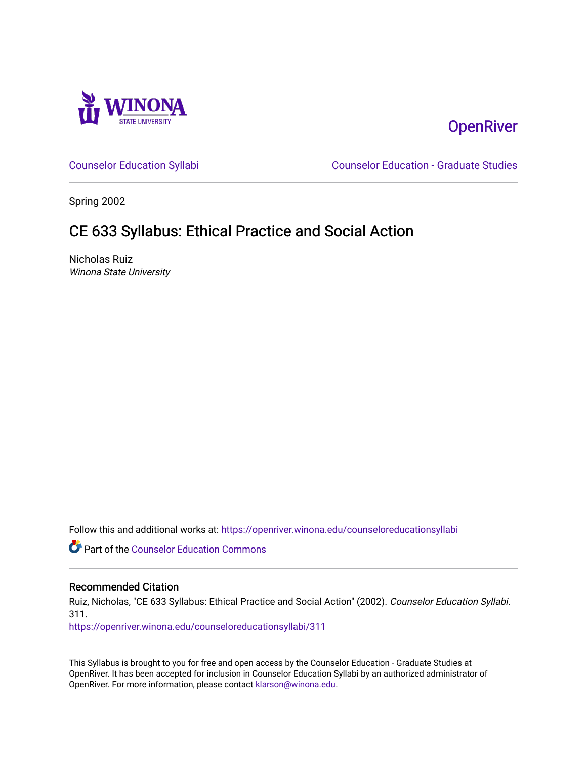

# **OpenRiver**

[Counselor Education Syllabi](https://openriver.winona.edu/counseloreducationsyllabi) [Counselor Education - Graduate Studies](https://openriver.winona.edu/counseloreducation) 

Spring 2002

# CE 633 Syllabus: Ethical Practice and Social Action

Nicholas Ruiz Winona State University

Follow this and additional works at: [https://openriver.winona.edu/counseloreducationsyllabi](https://openriver.winona.edu/counseloreducationsyllabi?utm_source=openriver.winona.edu%2Fcounseloreducationsyllabi%2F311&utm_medium=PDF&utm_campaign=PDFCoverPages)

Part of the [Counselor Education Commons](http://network.bepress.com/hgg/discipline/1278?utm_source=openriver.winona.edu%2Fcounseloreducationsyllabi%2F311&utm_medium=PDF&utm_campaign=PDFCoverPages) 

#### Recommended Citation

Ruiz, Nicholas, "CE 633 Syllabus: Ethical Practice and Social Action" (2002). Counselor Education Syllabi. 311.

[https://openriver.winona.edu/counseloreducationsyllabi/311](https://openriver.winona.edu/counseloreducationsyllabi/311?utm_source=openriver.winona.edu%2Fcounseloreducationsyllabi%2F311&utm_medium=PDF&utm_campaign=PDFCoverPages)

This Syllabus is brought to you for free and open access by the Counselor Education - Graduate Studies at OpenRiver. It has been accepted for inclusion in Counselor Education Syllabi by an authorized administrator of OpenRiver. For more information, please contact [klarson@winona.edu](mailto:klarson@winona.edu).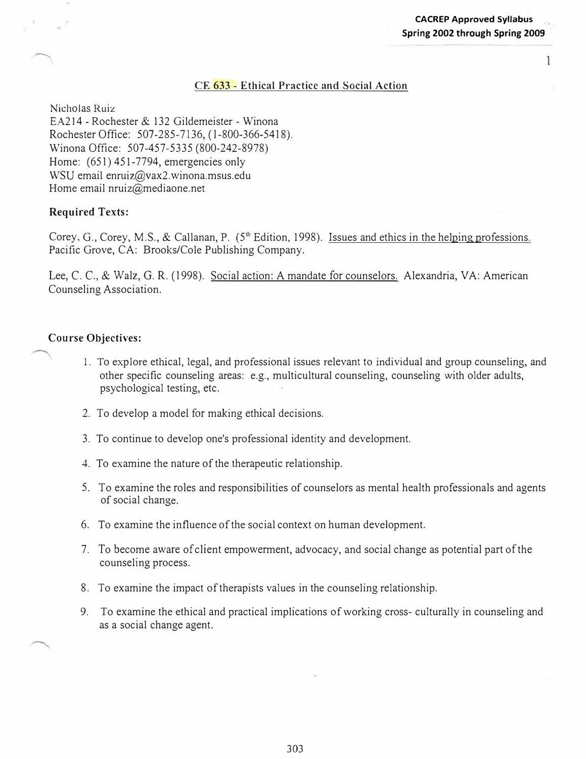$\mathbf{1}$ 

#### **CE 633 - Ethical Practice and Social Action**

Nicholas Ruiz

EA214 - Rochester & 132 Gildemeister - Winona Rochester Office: 507-285-7136, ( l-800-366-5418). Winona Office: 507-457-5335 (800-242-8978) Home: (651) 451-7794, emergencies only WSU email enruiz@vax2.winona.msus.edu Home email nruiz@mediaone.net

### **Required Texts:**

Corey, G., Corey, M.S., & Callanan, P. (5<sup>th</sup> Edition, 1998). Issues and ethics in the helping professions. Pacific Grove, CA: Brooks/Cole Publishing Company.

Lee, C. C., & Walz, G. R. (1998). Social action: A mandate for counselors. Alexandria, VA: American Counseling Association.

#### **Course Objectives:**

- 1. To explore ethical, legal, and professional issues relevant to individual and group counseling, and other specific counseling areas: e.g., multicultural counseling, counseling with older adults, psychological testing, etc.
- 2. To develop a model for making ethical decisions.
- 3. To continue to develop one's professional identity and development.
- 4. To examine the nature of the therapeutic relationship.
- 5. To examine the roles and responsibilities of counselors as mental health professionals and agents of social change.
- 6. To examine the influence of the social context on human development.
- 7. To become aware of client empowerment, advocacy, and social change as potential part of the counseling process.
- 8. To examine the impact of therapists values in the counseling relationship.
- 9. To examine the ethical and practical implications of working cross- culturally in counseling and as a social change agent.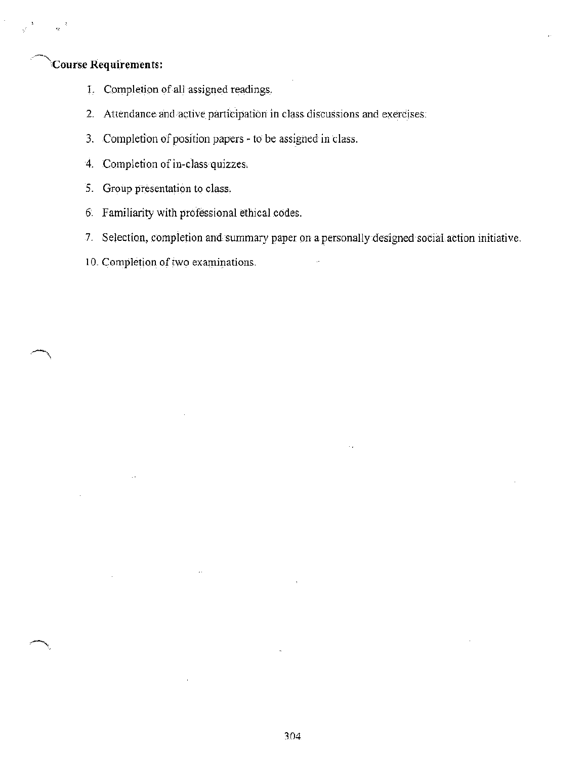## **Course Requirements:**

- 1. Completion of all assigned readings.
- 2. Attendance and active participation in class discussions and exercises.
- 3. Completion of position papers to be assigned in class.
- 4. Completion of in-class quizzes.
- 5. Group presentation to class,
- 6. Familiarity with professional ethical codes.
- 7. Selection, completion and summary paper on a personally designed social action initiative.
- 10. Completion of two examinations.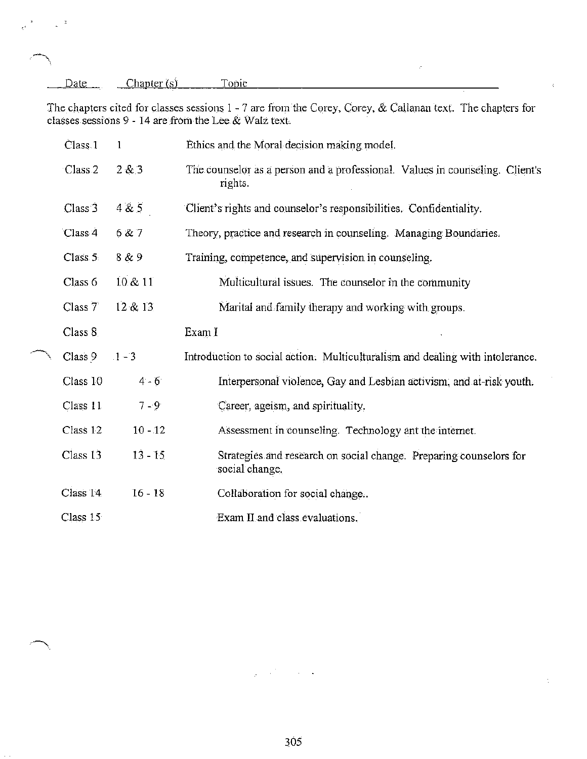| Date | Chapter(s)                                               | Topic |                                                                                                              |  |
|------|----------------------------------------------------------|-------|--------------------------------------------------------------------------------------------------------------|--|
|      |                                                          |       | The chapters cited for classes sessions $1 - 7$ are from the Corey, Corey, & Callanan text. The chapters for |  |
|      | classes sessions 9 - 14 are from the Lee $\&$ Walz text. |       |                                                                                                              |  |

 $\epsilon$ 

 $\ddot{\cdot}$ 

 $\epsilon^{\rm s}$ 

| Class <sub>1</sub> | $\mathbf{1}$ | Ethics and the Moral decision making model.                                             |
|--------------------|--------------|-----------------------------------------------------------------------------------------|
| Class 2            | 2 & 3        | The counselor as a person and a professional. Values in counseling. Client's<br>rights. |
| Class <sub>3</sub> | 4 & 5        | Client's rights and counselor's responsibilities. Confidentiality.                      |
| Class 4            | 6 & 7        | Theory, practice and research in counseling. Managing Boundaries.                       |
| Class 5            | 8 & 9        | Training, competence, and supervision in counseling.                                    |
| Class 6            | 10 & 11      | Multicultural issues. The counselor in the community                                    |
| Class <sub>7</sub> | 12 & 13      | Marital and family therapy and working with groups.                                     |
| Class 8            |              | Exam I                                                                                  |
| Class 9            | $-1 - 3$     | Introduction to social action. Multiculturalism and dealing with intolerance.           |
| Class 10           | $4 - 6$      | Interpersonal violence, Gay and Lesbian activism, and at-risk youth.                    |
| Class 11           | $7 - 9$      | Career, ageism, and spirituality.                                                       |
| Class 12           | $10 - 12$    | Assessment in counseling. Technology ant the internet.                                  |
| Class 13           | $13 - 15$    | Strategies and research on social change. Preparing counselors for<br>social change.    |
| Class 14           | $16 - 18$    | Collaboration for social change                                                         |
| Class $15$         |              | Exam II and class evaluations.                                                          |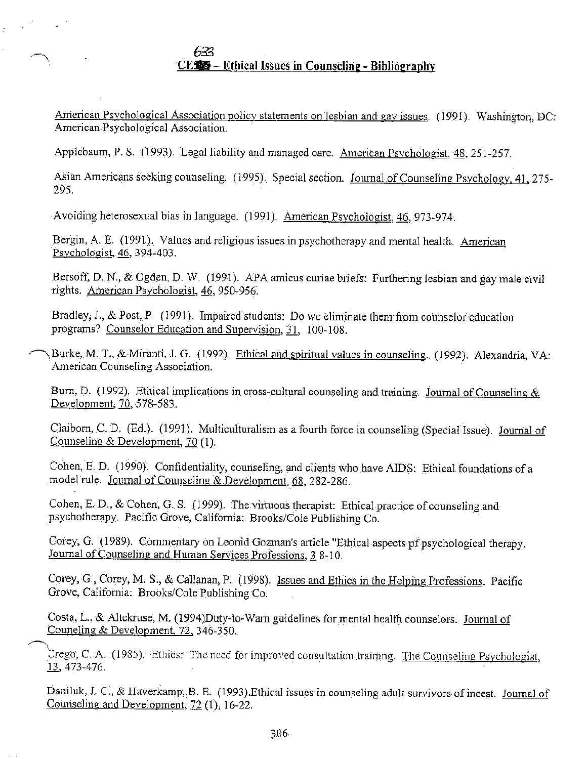633 CE... Ethical Issues in Counseling - Bibliography

American Psychological Association policy statements on lesbian and gay issues. (1991). Washington, DC: American Psychological Association.

Applebaum, P. S. (1993). Legal liability and managed care. American Psychologist, 48, 251-257.

Asian Americans seeking counseling. (1995). Special section. Journal of Counseling Psychology, 41, 275-295.

Avoiding heterosexual bias in language. (1991). American Psychologist, 46, 973-974.

Bergin, A. E. (1991). Values and religious issues in psychotherapy and mental health. American Psychologist, 46, 394-403.

Bersoff, D. N., & Ogden, D. W. (1991). APA amicus curiae briefs: Furthering lesbian and gay male civil rights. American Psychologist, 46, 950-956.

Bradley, J., & Post, P. (1991). Impaired students: Do we eliminate them from counselor education programs? Counselor Education and Supervision, 31, 100-108.

Burke, M. T., & Miranti, J. G. (1992). Ethical and spiritual values in counseling. (1992). Alexandria, VA: American Counseling Association.

Burn, D. (1992). Ethical implications in cross-cultural counseling and training. Journal of Counseling  $\&$ Development, 70, 578-583.

Claiborn, C. D. (Ed.). (1991). Multiculturalism as a fourth force in counseling (Special Issue). Journal of Counseling & Development,  $70(1)$ .

Cohen, E. D. (1990). Confidentiality, counseling, and clients who have AIDS: Ethical foundations of a model rule. Journal of Counseling & Development, 68, 282-286.

Cohen, E. D., & Cohen, G. S. (1999). The virtuous therapist: Ethical practice of counseling and psychotherapy. Pacific Grove, California: Brooks/Cole Publishing Co.

Corey, G. (1989). Commentary on Leonid Gozman's article "Ethical aspects of psychological therapy. Journal of Counseling and Human Services Professions, 3 8-10.

Corey, G., Corey, M. S., & Callanan, P. (1998). Issues and Ethics in the Helping Professions. Pacific Grove, California: Brooks/Cole Publishing Co.

Costa, L., & Altekruse, M. (1994)Duty-to-Warn guidelines for mental health counselors. Journal of Councling & Development, 72, 346-350.

Crego, C. A. (1985). Ethics: The need for improved consultation training. The Counseling Psychologist,  $13,473-476.$ 

Daniluk, J. C., & Haverkamp, B. E. (1993). Ethical issues in counseling adult survivors of incest. Journal of Counseling and Development, 72 (1), 16-22.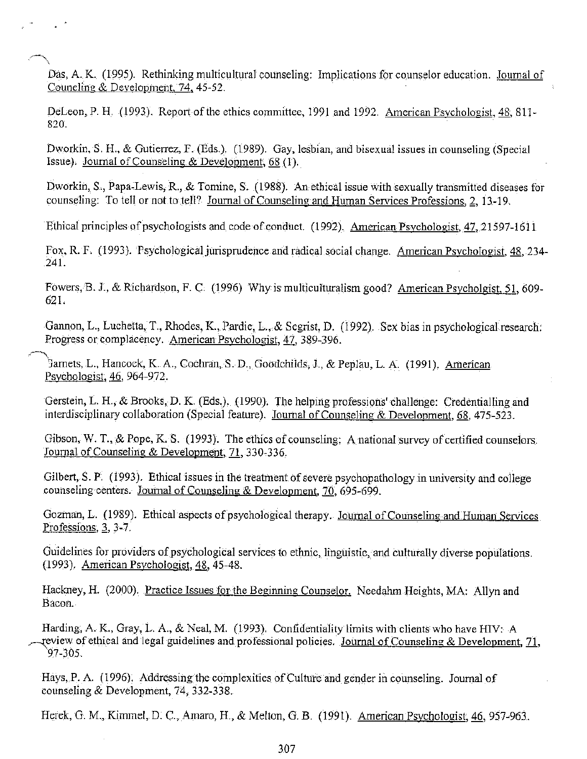Das, A. K. (1995). Rethinking multicultural counseling: Implications for counselor education. Journal of Councling & Development, 74, 45-52.

DeLeon, P. H. (1993). Report of the ethics committee, 1991 and 1992. American Psychologist, 48, 811-820.

Dworkin, S. H., & Gutierrez, F. (Eds.). (1989). Gay, lesbian, and bisexual issues in counseling (Special Issue). Journal of Counseling & Development, 68 (1).

Dworkin, S., Papa-Lewis, R., & Tomine, S. (1988). An ethical issue with sexually transmitted diseases for counseling: To tell or not to tell? Journal of Counseling and Human Services Professions, 2, 13-19.

Ethical principles of psychologists and code of conduct. (1992). American Psychologist, 47, 21597-1611

Fox, R. F. (1993). Psychological jurisprudence and radical social change. American Psychologist, 48, 234-241.

Fowers, B. J., & Richardson, F. C. (1996) Why is multiculturalism good? American Psycholgist, 51, 609-621.

Gannon, L., Luchetta, T., Rhodes, K., Pardie, L., & Segrist, D. (1992). Sex bias in psychological research: Progress or complacency. American Psychologist, 47, 389-396.

Garnets, L., Hancock, K. A., Cochran, S. D., Goodchilds, J., & Peplau, L. A. (1991). American Psychologist, 46, 964-972.

Gerstein, L. H., & Brooks, D. K. (Eds.). (1990). The helping professions' challenge: Credentialling and interdisciplinary collaboration (Special feature). Journal of Counseling & Development, 68, 475-523.

Gibson, W. T., & Pope, K. S. (1993). The ethics of counseling: A national survey of certified counselors. Journal of Counseling & Development, 71, 330-336.

Gilbert, S. P. (1993). Ethical issues in the treatment of severe psychopathology in university and college counseling centers. Journal of Counseling & Development, 70, 695-699.

Gozman, L. (1989). Ethical aspects of psychological therapy. Journal of Counseling and Human Services Professions, 3, 3-7.

Guidelines for providers of psychological services to ethnic, linguistic, and culturally diverse populations. (1993). American Psychologist, 48, 45-48.

Hackney, H. (2000). Practice Issues for the Beginning Counselor. Needahm Heights, MA: Allyn and Bacon.

Harding, A. K., Gray, L. A., & Neal, M. (1993). Confidentiality limits with clients who have HIV: A review of ethical and legal guidelines and professional policies. Journal of Counseling & Development, 71,  $97 - 305.$ 

Hays, P. A. (1996). Addressing the complexities of Culture and gender in counseling. Journal of counseling & Development, 74, 332-338.

Herek, G. M., Kimmel, D. C., Amaro, H., & Melton, G. B. (1991). American Psychologist, 46, 957-963.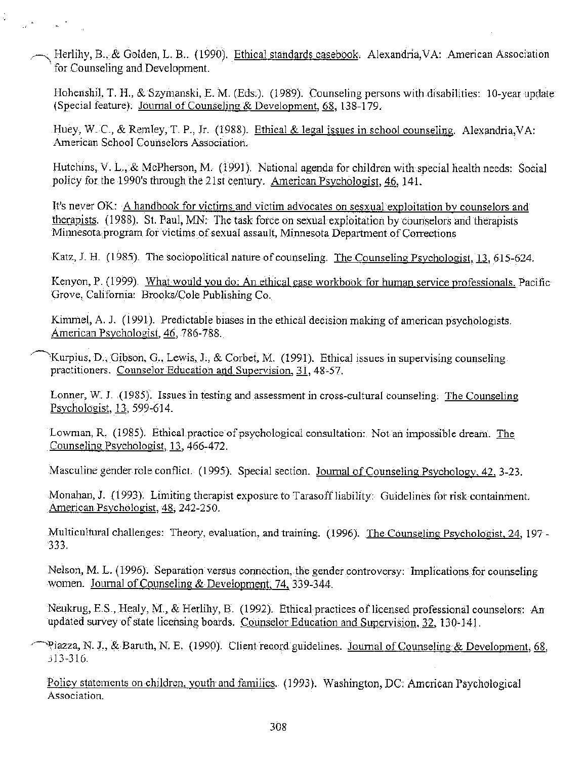Herlihy, B., & Golden, L. B.. (1990). Ethical standards casebook. Alexandria, VA: American Association for Counseling and Development.

Ç.

 $\frac{1}{2} \int_{0}^{\frac{\pi}{2}} \frac{dx}{\sqrt{1-x^2}} \, dx = \frac{1}{2} \int_{0}^{\frac{\pi}{2}} \frac{dx}{\sqrt{1-x^2}} \, dx$ 

Hohenshil, T. H., & Szymanski, E. M. (Eds.). (1989). Counseling persons with disabilities: 10-year update (Special feature). Journal of Counseling & Development, 68, 138-179.

Huey, W. C., & Remley, T. P., Jr. (1988). Ethical & legal issues in school counseling. Alexandria, VA: American School Counselors Association.

Hutchins, V. L., & McPherson, M. (1991). National agenda for children with special health needs: Social policy for the 1990's through the 21st century. American Psychologist, 46, 141.

It's never OK: A handbook for victims and victim advocates on sesxual exploitation by counselors and therapists. (1988). St. Paul, MN: The task force on sexual exploitation by counselors and therapists Minnesota program for victims of sexual assault, Minnesota Department of Corrections

Katz, J. H. (1985). The sociopolitical nature of counseling. The Counseling Psychologist, 13, 615-624.

Kenyon, P. (1999). What would you do: An ethical case workbook for human service professionals. Pacific Grove, California: Brooks/Cole Publishing Co.

Kimmel, A. J. (1991). Predictable biases in the ethical decision making of american psychologists. American Psychologist, 46, 786-788.

Kurpius, D., Gibson, G., Lewis, J., & Corbet, M. (1991). Ethical issues in supervising counseling practitioners. Counselor Education and Supervision, 31, 48-57.

Lonner, W. J. (1985). Issues in testing and assessment in cross-cultural counseling. The Counseling Psychologist, 13, 599-614.

Lowman, R. (1985). Ethical practice of psychological consultation: Not an impossible dream. The Counseling Psychologist, 13, 466-472.

Masculine gender role conflict. (1995). Special section. Journal of Counseling Psychology, 42, 3-23.

Monahan, J. (1993). Limiting therapist exposure to Tarasoff liability: Guidelines for risk containment. American Psychologist, 48, 242-250.

Multicultural challenges: Theory, evaluation, and training. (1996). The Counseling Psychologist, 24, 197- $333.$ 

Nelson, M. L. (1996). Separation versus connection, the gender controversy: Implications for counseling women. Journal of Counseling & Development, 74, 339-344.

Neukrug, E.S., Healy, M., & Herlihy, B. (1992). Ethical practices of licensed professional counselors: An updated survey of state licensing boards. Counselor Education and Supervision, 32, 130-141.

Piazza, N. J., & Baruth, N. E. (1990). Client record guidelines. Journal of Counseling & Development, 68,  $313 - 316.$ 

Policy statements on children, youth and families. (1993). Washington, DC: American Psychological Association.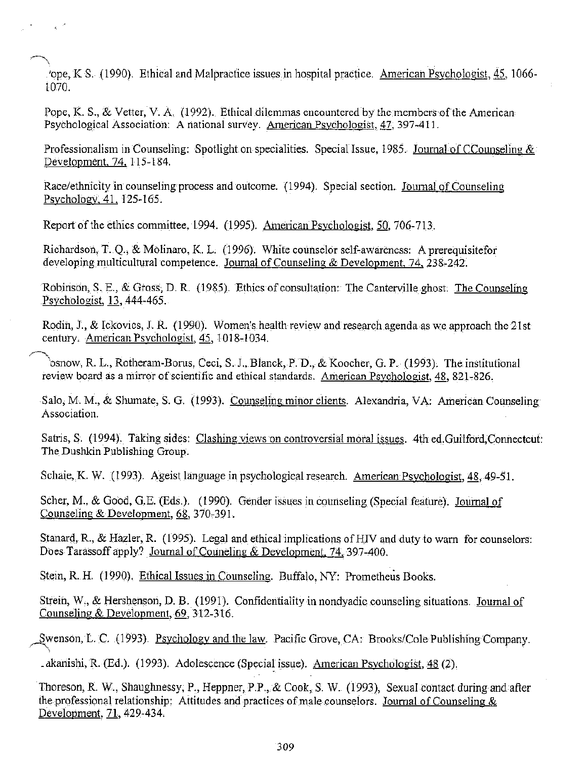ope, K.S. (1990). Ethical and Malpractice issues in hospital practice. American Psychologist, 45, 1066-1070.

Pope, K. S., & Vetter, V. A. (1992). Ethical dilemmas encountered by the members of the American Psychological Association: A national survey. American Psychologist, 47, 397-411.

Professionalism in Counseling: Spotlight on specialities. Special Issue, 1985. Journal of CCounseling & Development, 74, 115-184.

Race/ethnicity in counseling process and outcome. (1994). Special section. Journal of Counseling Psychology, 41, 125-165.

Report of the ethics committee, 1994. (1995). American Psychologist, 50, 706-713.

 $\chi^{-1/2}$ 

Richardson, T. Q., & Molinaro, K. L. (1996). White counselor self-awareness: A prerequisitefor developing multicultural competence. Journal of Counseling & Development, 74, 238-242.

Robinson, S. E., & Gross, D. R. (1985). Ethics of consultation: The Canterville ghost. The Counseling Psychologist, 13, 444-465.

Rodin, J., & Ickovics, J. R. (1990). Women's health review and research agenda as we approach the 21st century. American Psychologist, 45, 1018-1034.

osnow, R. L., Rotheram-Borus, Ceci, S. J., Blanck, P. D., & Koocher, G. P. (1993). The institutional review board as a mirror of scientific and ethical standards. American Psychologist, 48, 821-826.

Salo, M. M., & Shumate, S. G. (1993). Counseling minor clients. Alexandria, VA: American Counseling Association.

Satris, S. (1994). Taking sides: Clashing views on controversial moral issues. 4th ed. Guilford, Connecteut: The Dushkin Publishing Group.

Schaie, K. W. (1993). Ageist language in psychological research. American Psychologist, 48, 49-51.

Scher, M., & Good, G.E. (Eds.). (1990). Gender issues in counseling (Special feature). Journal of Counseling & Development, 68, 370-391.

Stanard, R., & Hazler, R. (1995). Legal and ethical implications of HIV and duty to warn for counselors: Does Tarassoff apply? Journal of Councling & Development, 74, 397-400.

Stein, R. H. (1990). Ethical Issues in Counseling. Buffalo, NY: Prometheus Books.

Strein, W., & Hershenson, D. B. (1991). Confidentiality in nondyadic counseling situations. Journal of Counseling & Development, 69, 312-316.

Swenson, L. C. (1993). Psychology and the law. Pacific Grove, CA: Brooks/Cole Publishing Company.

. akanishi, R. (Ed.). (1993). Adolescence (Special issue). American Psychologist, 48 (2).

Thoreson, R. W., Shaughnessy, P., Heppner, P.P., & Cook, S. W. (1993), Sexual contact during and after the professional relationship: Attitudes and practices of male counselors. Journal of Counseling & Development, 71, 429-434.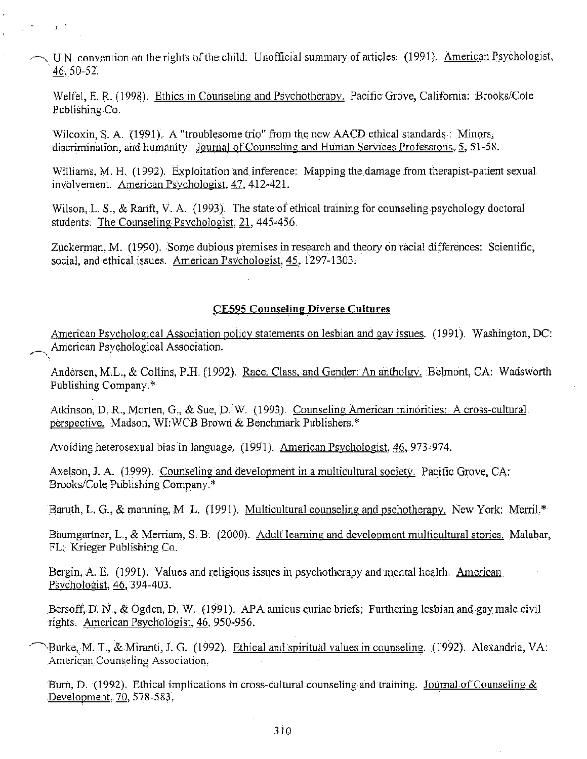U.N. convention on the rights of the child: Unofficial summary of articles. (1991). American Psychologist, 46, 50-52.

Welfel, E. R. (1998). Ethics in Counseling and Psychotherapy. Pacific Grove, California: Brooks/Cole Publishing Co.

Wilcoxin, S. A. (1991). A "troublesome trio" from the new AACD ethical standards: Minors, discrimination, and humanity. Journal of Counseling and Human Services Professions, 5, 51-58.

 $\beta$  .

Williams, M. H. (1992). Exploitation and inference: Mapping the damage from the rapist-patient sexual involvement. American Psychologist, 47, 412-421.

Wilson, L. S., & Ranft, V. A. (1993). The state of ethical training for counseling psychology doctoral students. The Counseling Psychologist, 21, 445-456.

Zuckerman, M. (1990). Some dubious premises in research and theory on racial differences: Scientific, social, and ethical issues. American Psychologist, 45, 1297-1303.

### **CE595 Counseling Diverse Cultures**

American Psychological Association policy statements on lesbian and gay issues. (1991). Washington, DC: American Psychological Association.

Andersen, M.L., & Collins, P.H. (1992). Race, Class, and Gender: An antholgy. Belmont, CA: Wadsworth Publishing Company.\*

Atkinson, D. R., Morten, G., & Sue, D. W. (1993). Counseling American minorities: A cross-cultural perspective. Madson, WI:WCB Brown & Benchmark Publishers.\*

Avoiding heterosexual bias in language. (1991). American Psychologist, 46, 973-974.

Axelson, J. A. (1999). Counseling and development in a multicultural society. Pacific Grove, CA: Brooks/Cole Publishing Company.\*

Baruth, L. G., & manning, M. L. (1991). Multicultural counseling and pschotherapy. New York: Merril.\*

Baumgartner, L., & Merriam, S. B. (2000). Adult learning and development multicultural stories. Malabar, FL: Krieger Publishing Co.

Bergin, A. E. (1991). Values and religious issues in psychotherapy and mental health. American Psychologist, 46, 394-403.

Bersoff, D. N., & Ogden, D. W. (1991). APA amicus curiae briefs: Furthering lesbian and gay male civil rights. American Psychologist, 46, 950-956.

Burke, M. T., & Miranti, J. G. (1992). Ethical and spiritual values in counseling. (1992). Alexandria, VA: American Counseling Association.

Burn, D. (1992). Ethical implications in cross-cultural counseling and training. Journal of Counseling & Development, 70, 578-583.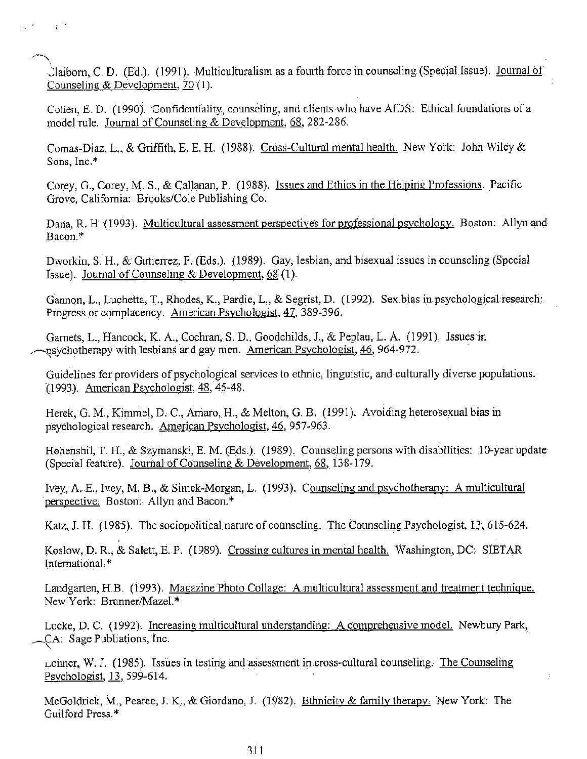Claiborn, C. D. (Ed.). (1991). Multiculturalism as a fourth force in counseling (Special Issue). Journal of Counseling & Development, 70 (1).

 $\sim$   $\rm{g}^{-2}$ 

Cohen, E. D. (1990). Confidentiality, counseling, and clients who have AIDS: Ethical foundations of a model rule. Journal of Counseling & Development, 68, 282-286.

Comas-Diaz, L., & Griffith, E. E. H. (1988). Cross-Cultural mental health. New York: John Wiley & Sons, Inc.\*

Corey, G., Corey, M. S., & Callanan, P. (1988). Issues and Ethics in the Helping Professions. Pacific Grove, California: Brooks/Cole Publishing Co.

Dana, R. H. (1993). Multicultural assessment perspectives for professional psychology. Boston: Allyn and Bacon.\*

Dworkin, S. H., & Gutierrez, F. (Eds.). (1989). Gay, lesbian, and bisexual issues in counseling (Special Issue). Journal of Counseling & Development,  $68(1)$ .

Gannon, L., Luchetta, T., Rhodes, K., Pardie, L., & Segrist, D. (1992). Sex bias in psychological research: Progress or complacency. American Psychologist, 47, 389-396.

Garnets, L., Hancock, K. A., Cochran, S. D., Goodchilds, J., & Peplau, L. A. (1991). Issues in psychotherapy with lesbians and gay men. American Psychologist, 46, 964-972.

Guidelines for providers of psychological services to ethnic, linguistic, and culturally diverse populations. (1993). American Psychologist, 48, 45-48.

Herek, G. M., Kimmel, D. C., Amaro, H., & Melton, G. B. (1991). Avoiding heterosexual bias in psychological research. American Psychologist, 46, 957-963.

Hohenshil, T. H., & Szymanski, E. M. (Eds.). (1989). Counseling persons with disabilities: 10-year update (Special feature). Journal of Counseling & Development, 68, 138-179.

Ivey, A. E., Ivey, M. B., & Simek-Morgan, L. (1993). Counseling and psychotherapy: A multicultural perspective. Boston: Allyn and Bacon.\*

Katz, J. H. (1985). The sociopolitical nature of counseling. The Counseling Psychologist, 13, 615-624.

Koslow, D. R., & Salett, E. P. (1989). Crossing cultures in mental health. Washington, DC: SIETAR International.\*

Landgarten, H.B. (1993). Magazine Photo Collage: A multicultural assessment and treatment technique. New York: Brunner/Mazel.\*

Locke, D. C. (1992). Increasing multicultural understanding: A comprehensive model. Newbury Park, CA: Sage Publiations, Inc.

Lonner, W. J. (1985). Issues in testing and assessment in cross-cultural counseling. The Counseling Psychologist, 13, 599-614.

McGoldrick, M., Pearce, J. K., & Giordano, J. (1982). Ethnicity & family therapy. New York: The Guilford Press.\*